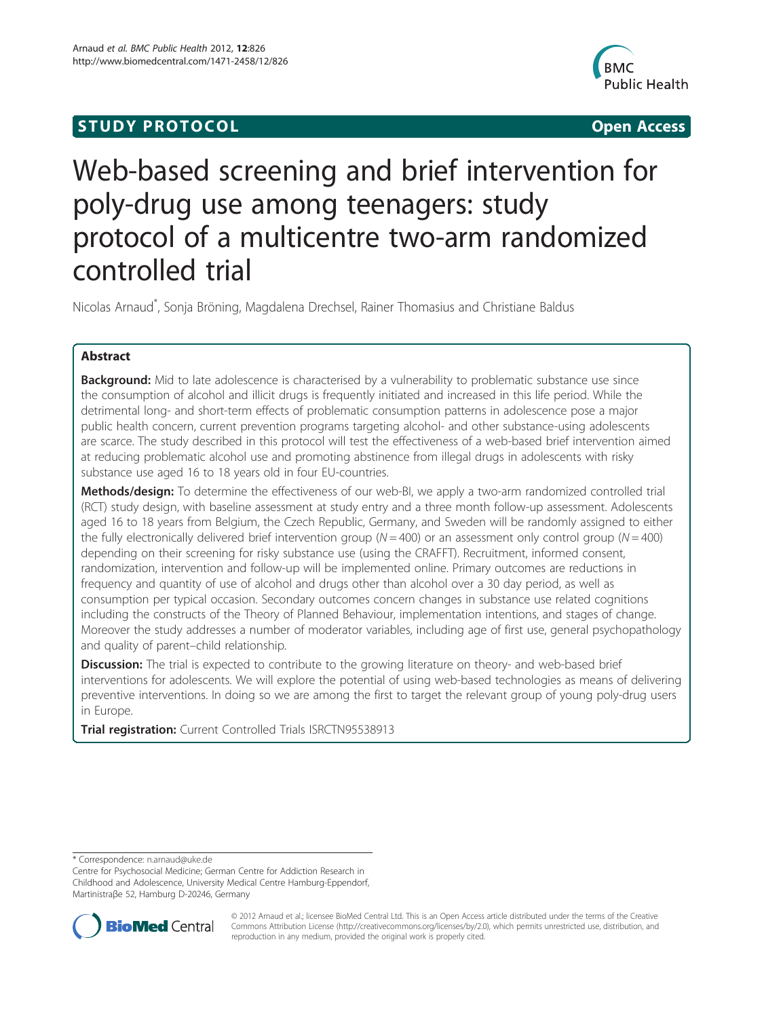# **STUDY PROTOCOL CONSUMING THE CONSUMING OPEN ACCESS**



# Web-based screening and brief intervention for poly-drug use among teenagers: study protocol of a multicentre two-arm randomized controlled trial

Nicolas Arnaud\* , Sonja Bröning, Magdalena Drechsel, Rainer Thomasius and Christiane Baldus

# Abstract

**Background:** Mid to late adolescence is characterised by a vulnerability to problematic substance use since the consumption of alcohol and illicit drugs is frequently initiated and increased in this life period. While the detrimental long- and short-term effects of problematic consumption patterns in adolescence pose a major public health concern, current prevention programs targeting alcohol- and other substance-using adolescents are scarce. The study described in this protocol will test the effectiveness of a web-based brief intervention aimed at reducing problematic alcohol use and promoting abstinence from illegal drugs in adolescents with risky substance use aged 16 to 18 years old in four EU-countries.

Methods/design: To determine the effectiveness of our web-BI, we apply a two-arm randomized controlled trial (RCT) study design, with baseline assessment at study entry and a three month follow-up assessment. Adolescents aged 16 to 18 years from Belgium, the Czech Republic, Germany, and Sweden will be randomly assigned to either the fully electronically delivered brief intervention group ( $N = 400$ ) or an assessment only control group ( $N = 400$ ) depending on their screening for risky substance use (using the CRAFFT). Recruitment, informed consent, randomization, intervention and follow-up will be implemented online. Primary outcomes are reductions in frequency and quantity of use of alcohol and drugs other than alcohol over a 30 day period, as well as consumption per typical occasion. Secondary outcomes concern changes in substance use related cognitions including the constructs of the Theory of Planned Behaviour, implementation intentions, and stages of change. Moreover the study addresses a number of moderator variables, including age of first use, general psychopathology and quality of parent–child relationship.

**Discussion:** The trial is expected to contribute to the growing literature on theory- and web-based brief interventions for adolescents. We will explore the potential of using web-based technologies as means of delivering preventive interventions. In doing so we are among the first to target the relevant group of young poly-drug users in Europe.

Trial registration: Current Controlled Trials ISRCTN95538913

\* Correspondence: [n.arnaud@uke.de](mailto:n.arnaud@uke.de)

Centre for Psychosocial Medicine; German Centre for Addiction Research in Childhood and Adolescence, University Medical Centre Hamburg-Eppendorf, Martinistraβe 52, Hamburg D-20246, Germany



© 2012 Arnaud et al.; licensee BioMed Central Ltd. This is an Open Access article distributed under the terms of the Creative Commons Attribution License [\(http://creativecommons.org/licenses/by/2.0\)](http://creativecommons.org/licenses/by/2.0), which permits unrestricted use, distribution, and reproduction in any medium, provided the original work is properly cited.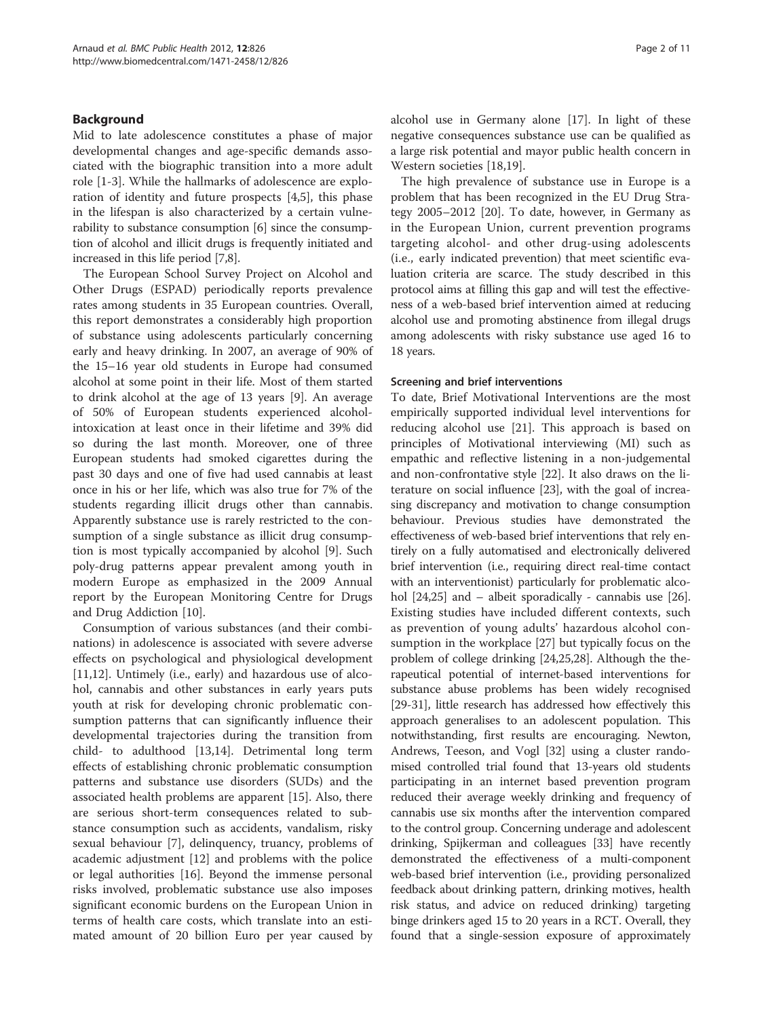# Background

Mid to late adolescence constitutes a phase of major developmental changes and age-specific demands associated with the biographic transition into a more adult role [[1-3\]](#page-7-0). While the hallmarks of adolescence are exploration of identity and future prospects [[4,5\]](#page-7-0), this phase in the lifespan is also characterized by a certain vulnerability to substance consumption [\[6](#page-7-0)] since the consumption of alcohol and illicit drugs is frequently initiated and increased in this life period [\[7](#page-7-0)[,8](#page-8-0)].

The European School Survey Project on Alcohol and Other Drugs (ESPAD) periodically reports prevalence rates among students in 35 European countries. Overall, this report demonstrates a considerably high proportion of substance using adolescents particularly concerning early and heavy drinking. In 2007, an average of 90% of the 15–16 year old students in Europe had consumed alcohol at some point in their life. Most of them started to drink alcohol at the age of 13 years [\[9](#page-8-0)]. An average of 50% of European students experienced alcoholintoxication at least once in their lifetime and 39% did so during the last month. Moreover, one of three European students had smoked cigarettes during the past 30 days and one of five had used cannabis at least once in his or her life, which was also true for 7% of the students regarding illicit drugs other than cannabis. Apparently substance use is rarely restricted to the consumption of a single substance as illicit drug consumption is most typically accompanied by alcohol [\[9](#page-8-0)]. Such poly-drug patterns appear prevalent among youth in modern Europe as emphasized in the 2009 Annual report by the European Monitoring Centre for Drugs and Drug Addiction [\[10\]](#page-8-0).

Consumption of various substances (and their combinations) in adolescence is associated with severe adverse effects on psychological and physiological development [[11,12\]](#page-8-0). Untimely (i.e., early) and hazardous use of alcohol, cannabis and other substances in early years puts youth at risk for developing chronic problematic consumption patterns that can significantly influence their developmental trajectories during the transition from child- to adulthood [\[13,14\]](#page-8-0). Detrimental long term effects of establishing chronic problematic consumption patterns and substance use disorders (SUDs) and the associated health problems are apparent [[15\]](#page-8-0). Also, there are serious short-term consequences related to substance consumption such as accidents, vandalism, risky sexual behaviour [[7\]](#page-7-0), delinquency, truancy, problems of academic adjustment [[12\]](#page-8-0) and problems with the police or legal authorities [[16](#page-8-0)]. Beyond the immense personal risks involved, problematic substance use also imposes significant economic burdens on the European Union in terms of health care costs, which translate into an estimated amount of 20 billion Euro per year caused by alcohol use in Germany alone [[17](#page-8-0)]. In light of these negative consequences substance use can be qualified as a large risk potential and mayor public health concern in Western societies [[18,19\]](#page-8-0).

The high prevalence of substance use in Europe is a problem that has been recognized in the EU Drug Strategy 2005–2012 [[20\]](#page-8-0). To date, however, in Germany as in the European Union, current prevention programs targeting alcohol- and other drug-using adolescents (i.e., early indicated prevention) that meet scientific evaluation criteria are scarce. The study described in this protocol aims at filling this gap and will test the effectiveness of a web-based brief intervention aimed at reducing alcohol use and promoting abstinence from illegal drugs among adolescents with risky substance use aged 16 to 18 years.

# Screening and brief interventions

To date, Brief Motivational Interventions are the most empirically supported individual level interventions for reducing alcohol use [[21\]](#page-8-0). This approach is based on principles of Motivational interviewing (MI) such as empathic and reflective listening in a non-judgemental and non-confrontative style [\[22\]](#page-8-0). It also draws on the literature on social influence [[23](#page-8-0)], with the goal of increasing discrepancy and motivation to change consumption behaviour. Previous studies have demonstrated the effectiveness of web-based brief interventions that rely entirely on a fully automatised and electronically delivered brief intervention (i.e., requiring direct real-time contact with an interventionist) particularly for problematic alcohol [\[24,25\]](#page-8-0) and – albeit sporadically - cannabis use [[26](#page-8-0)]. Existing studies have included different contexts, such as prevention of young adults' hazardous alcohol consumption in the workplace [\[27](#page-8-0)] but typically focus on the problem of college drinking [[24](#page-8-0),[25,28\]](#page-8-0). Although the therapeutical potential of internet-based interventions for substance abuse problems has been widely recognised [[29](#page-8-0)-[31\]](#page-8-0), little research has addressed how effectively this approach generalises to an adolescent population. This notwithstanding, first results are encouraging. Newton, Andrews, Teeson, and Vogl [\[32\]](#page-8-0) using a cluster randomised controlled trial found that 13-years old students participating in an internet based prevention program reduced their average weekly drinking and frequency of cannabis use six months after the intervention compared to the control group. Concerning underage and adolescent drinking, Spijkerman and colleagues [\[33](#page-8-0)] have recently demonstrated the effectiveness of a multi-component web-based brief intervention (i.e., providing personalized feedback about drinking pattern, drinking motives, health risk status, and advice on reduced drinking) targeting binge drinkers aged 15 to 20 years in a RCT. Overall, they found that a single-session exposure of approximately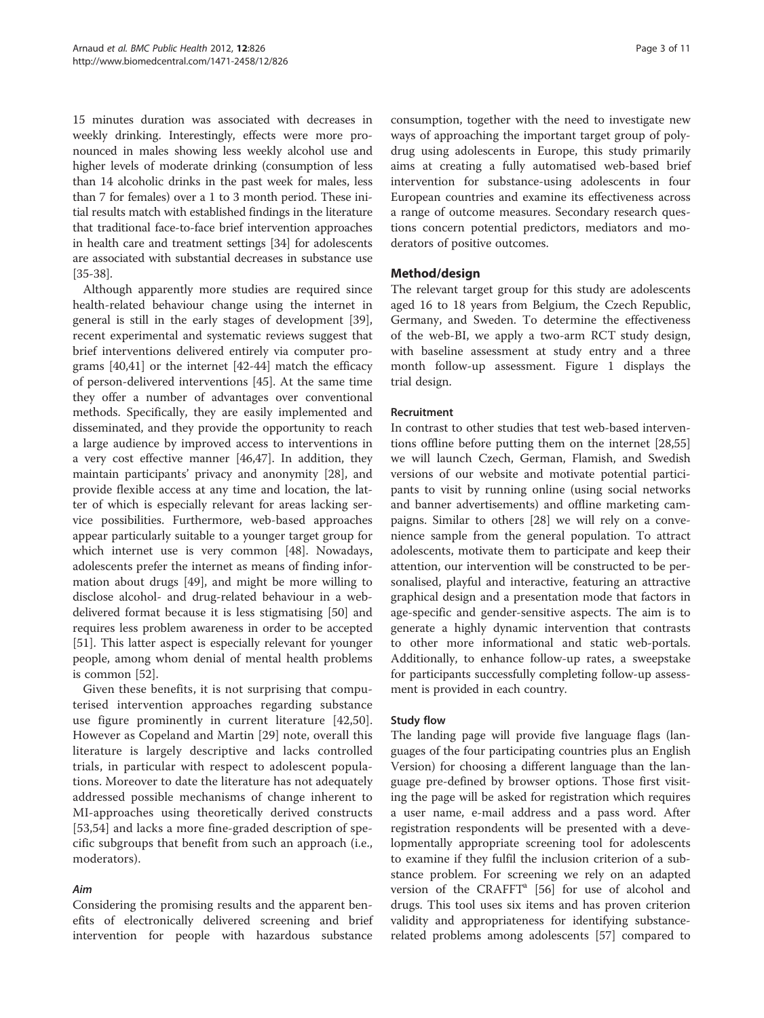15 minutes duration was associated with decreases in weekly drinking. Interestingly, effects were more pronounced in males showing less weekly alcohol use and higher levels of moderate drinking (consumption of less than 14 alcoholic drinks in the past week for males, less than 7 for females) over a 1 to 3 month period. These initial results match with established findings in the literature that traditional face-to-face brief intervention approaches in health care and treatment settings [[34](#page-8-0)] for adolescents are associated with substantial decreases in substance use [[35](#page-8-0)-[38\]](#page-8-0).

Although apparently more studies are required since health-related behaviour change using the internet in general is still in the early stages of development [\[39](#page-8-0)], recent experimental and systematic reviews suggest that brief interventions delivered entirely via computer programs [\[40,41\]](#page-8-0) or the internet [[42-44\]](#page-8-0) match the efficacy of person-delivered interventions [[45\]](#page-8-0). At the same time they offer a number of advantages over conventional methods. Specifically, they are easily implemented and disseminated, and they provide the opportunity to reach a large audience by improved access to interventions in a very cost effective manner [\[46,47\]](#page-8-0). In addition, they maintain participants' privacy and anonymity [[28\]](#page-8-0), and provide flexible access at any time and location, the latter of which is especially relevant for areas lacking service possibilities. Furthermore, web-based approaches appear particularly suitable to a younger target group for which internet use is very common [\[48](#page-8-0)]. Nowadays, adolescents prefer the internet as means of finding information about drugs [\[49](#page-8-0)], and might be more willing to disclose alcohol- and drug-related behaviour in a webdelivered format because it is less stigmatising [[50](#page-8-0)] and requires less problem awareness in order to be accepted [[51\]](#page-8-0). This latter aspect is especially relevant for younger people, among whom denial of mental health problems is common [[52](#page-9-0)].

Given these benefits, it is not surprising that computerised intervention approaches regarding substance use figure prominently in current literature [[42,50](#page-8-0)]. However as Copeland and Martin [[29\]](#page-8-0) note, overall this literature is largely descriptive and lacks controlled trials, in particular with respect to adolescent populations. Moreover to date the literature has not adequately addressed possible mechanisms of change inherent to MI-approaches using theoretically derived constructs [[53,54](#page-9-0)] and lacks a more fine-graded description of specific subgroups that benefit from such an approach (i.e., moderators).

# Aim

Considering the promising results and the apparent benefits of electronically delivered screening and brief intervention for people with hazardous substance

consumption, together with the need to investigate new ways of approaching the important target group of polydrug using adolescents in Europe, this study primarily aims at creating a fully automatised web-based brief intervention for substance-using adolescents in four European countries and examine its effectiveness across a range of outcome measures. Secondary research questions concern potential predictors, mediators and moderators of positive outcomes.

# Method/design

The relevant target group for this study are adolescents aged 16 to 18 years from Belgium, the Czech Republic, Germany, and Sweden. To determine the effectiveness of the web-BI, we apply a two-arm RCT study design, with baseline assessment at study entry and a three month follow-up assessment. Figure [1](#page-3-0) displays the trial design.

#### Recruitment

In contrast to other studies that test web-based interventions offline before putting them on the internet [[28](#page-8-0),[55](#page-9-0)] we will launch Czech, German, Flamish, and Swedish versions of our website and motivate potential participants to visit by running online (using social networks and banner advertisements) and offline marketing campaigns. Similar to others [\[28](#page-8-0)] we will rely on a convenience sample from the general population. To attract adolescents, motivate them to participate and keep their attention, our intervention will be constructed to be personalised, playful and interactive, featuring an attractive graphical design and a presentation mode that factors in age-specific and gender-sensitive aspects. The aim is to generate a highly dynamic intervention that contrasts to other more informational and static web-portals. Additionally, to enhance follow-up rates, a sweepstake for participants successfully completing follow-up assessment is provided in each country.

# Study flow

The landing page will provide five language flags (languages of the four participating countries plus an English Version) for choosing a different language than the language pre-defined by browser options. Those first visiting the page will be asked for registration which requires a user name, e-mail address and a pass word. After registration respondents will be presented with a developmentally appropriate screening tool for adolescents to examine if they fulfil the inclusion criterion of a substance problem. For screening we rely on an adapted version of the  $CRAFFT^a$  [\[56\]](#page-9-0) for use of alcohol and drugs. This tool uses six items and has proven criterion validity and appropriateness for identifying substancerelated problems among adolescents [\[57](#page-9-0)] compared to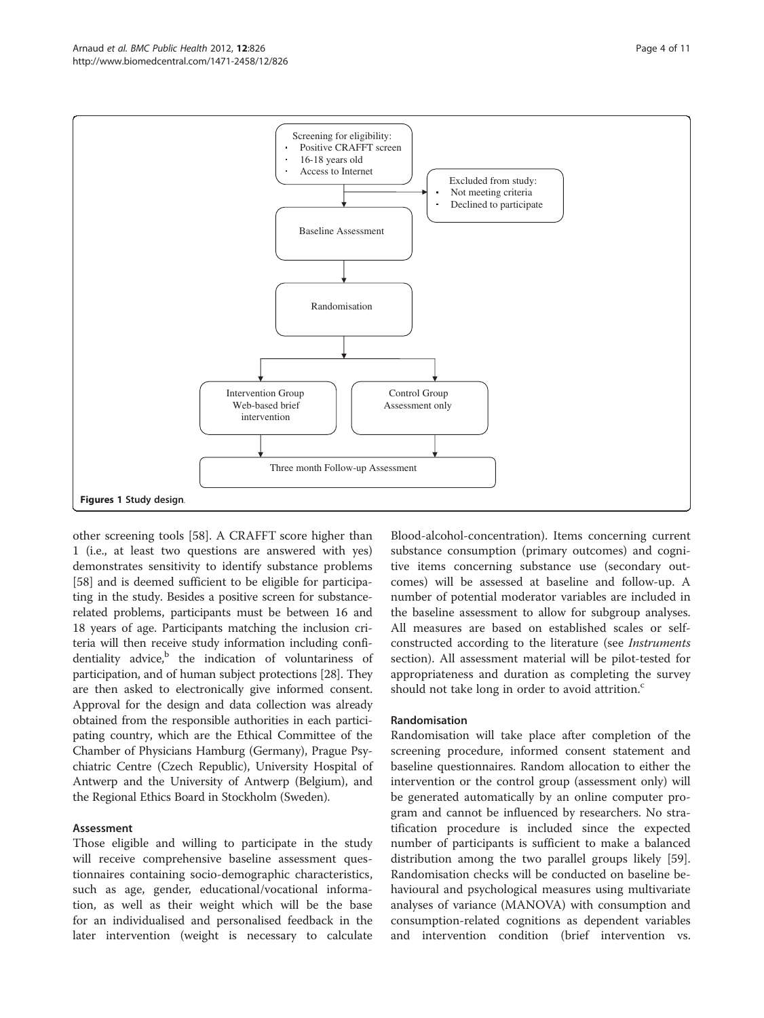<span id="page-3-0"></span>

other screening tools [\[58\]](#page-9-0). A CRAFFT score higher than 1 (i.e., at least two questions are answered with yes) demonstrates sensitivity to identify substance problems [[58\]](#page-9-0) and is deemed sufficient to be eligible for participating in the study. Besides a positive screen for substancerelated problems, participants must be between 16 and 18 years of age. Participants matching the inclusion criteria will then receive study information including confidentiality advice, $b$  the indication of voluntariness of participation, and of human subject protections [[28](#page-8-0)]. They are then asked to electronically give informed consent. Approval for the design and data collection was already obtained from the responsible authorities in each participating country, which are the Ethical Committee of the Chamber of Physicians Hamburg (Germany), Prague Psychiatric Centre (Czech Republic), University Hospital of Antwerp and the University of Antwerp (Belgium), and the Regional Ethics Board in Stockholm (Sweden).

# Assessment

Those eligible and willing to participate in the study will receive comprehensive baseline assessment questionnaires containing socio-demographic characteristics, such as age, gender, educational/vocational information, as well as their weight which will be the base for an individualised and personalised feedback in the later intervention (weight is necessary to calculate Blood-alcohol-concentration). Items concerning current substance consumption (primary outcomes) and cognitive items concerning substance use (secondary outcomes) will be assessed at baseline and follow-up. A number of potential moderator variables are included in the baseline assessment to allow for subgroup analyses. All measures are based on established scales or selfconstructed according to the literature (see Instruments section). All assessment material will be pilot-tested for appropriateness and duration as completing the survey should not take long in order to avoid attrition.<sup>c</sup>

#### Randomisation

Randomisation will take place after completion of the screening procedure, informed consent statement and baseline questionnaires. Random allocation to either the intervention or the control group (assessment only) will be generated automatically by an online computer program and cannot be influenced by researchers. No stratification procedure is included since the expected number of participants is sufficient to make a balanced distribution among the two parallel groups likely [\[59](#page-9-0)]. Randomisation checks will be conducted on baseline behavioural and psychological measures using multivariate analyses of variance (MANOVA) with consumption and consumption-related cognitions as dependent variables and intervention condition (brief intervention vs.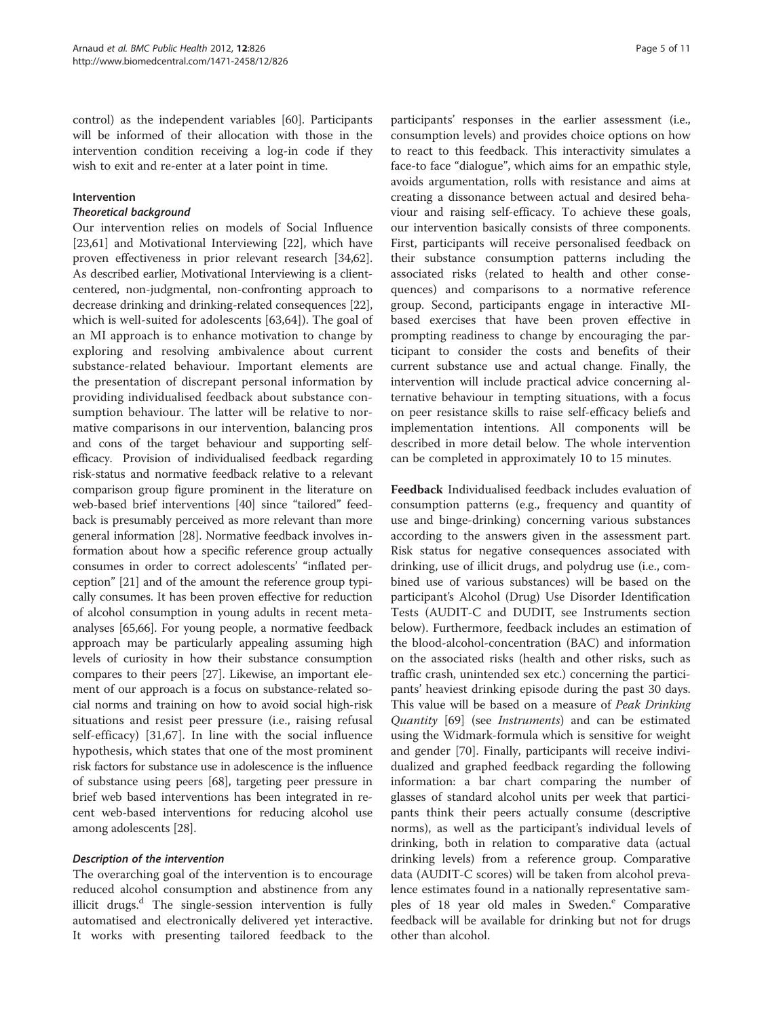control) as the independent variables [[60](#page-9-0)]. Participants will be informed of their allocation with those in the intervention condition receiving a log-in code if they wish to exit and re-enter at a later point in time.

#### Intervention

#### Theoretical background

Our intervention relies on models of Social Influence [[23,](#page-8-0)[61\]](#page-9-0) and Motivational Interviewing [[22\]](#page-8-0), which have proven effectiveness in prior relevant research [[34](#page-8-0)[,62](#page-9-0)]. As described earlier, Motivational Interviewing is a clientcentered, non-judgmental, non-confronting approach to decrease drinking and drinking-related consequences [[22](#page-8-0)], which is well-suited for adolescents [[63,64](#page-9-0)]). The goal of an MI approach is to enhance motivation to change by exploring and resolving ambivalence about current substance-related behaviour. Important elements are the presentation of discrepant personal information by providing individualised feedback about substance consumption behaviour. The latter will be relative to normative comparisons in our intervention, balancing pros and cons of the target behaviour and supporting selfefficacy. Provision of individualised feedback regarding risk-status and normative feedback relative to a relevant comparison group figure prominent in the literature on web-based brief interventions [[40](#page-8-0)] since "tailored" feedback is presumably perceived as more relevant than more general information [\[28](#page-8-0)]. Normative feedback involves information about how a specific reference group actually consumes in order to correct adolescents' "inflated perception" [[21\]](#page-8-0) and of the amount the reference group typically consumes. It has been proven effective for reduction of alcohol consumption in young adults in recent metaanalyses [[65,66](#page-9-0)]. For young people, a normative feedback approach may be particularly appealing assuming high levels of curiosity in how their substance consumption compares to their peers [[27](#page-8-0)]. Likewise, an important element of our approach is a focus on substance-related social norms and training on how to avoid social high-risk situations and resist peer pressure (i.e., raising refusal self-efficacy) [[31,](#page-8-0)[67\]](#page-9-0). In line with the social influence hypothesis, which states that one of the most prominent risk factors for substance use in adolescence is the influence of substance using peers [\[68\]](#page-9-0), targeting peer pressure in brief web based interventions has been integrated in recent web-based interventions for reducing alcohol use among adolescents [\[28\]](#page-8-0).

# Description of the intervention

The overarching goal of the intervention is to encourage reduced alcohol consumption and abstinence from any illicit drugs. $d$  The single-session intervention is fully automatised and electronically delivered yet interactive. It works with presenting tailored feedback to the

participants' responses in the earlier assessment (i.e., consumption levels) and provides choice options on how to react to this feedback. This interactivity simulates a face-to face "dialogue", which aims for an empathic style, avoids argumentation, rolls with resistance and aims at creating a dissonance between actual and desired behaviour and raising self-efficacy. To achieve these goals, our intervention basically consists of three components. First, participants will receive personalised feedback on their substance consumption patterns including the associated risks (related to health and other consequences) and comparisons to a normative reference group. Second, participants engage in interactive MIbased exercises that have been proven effective in prompting readiness to change by encouraging the participant to consider the costs and benefits of their current substance use and actual change. Finally, the intervention will include practical advice concerning alternative behaviour in tempting situations, with a focus on peer resistance skills to raise self-efficacy beliefs and implementation intentions. All components will be described in more detail below. The whole intervention can be completed in approximately 10 to 15 minutes.

Feedback Individualised feedback includes evaluation of consumption patterns (e.g., frequency and quantity of use and binge-drinking) concerning various substances according to the answers given in the assessment part. Risk status for negative consequences associated with drinking, use of illicit drugs, and polydrug use (i.e., combined use of various substances) will be based on the participant's Alcohol (Drug) Use Disorder Identification Tests (AUDIT-C and DUDIT, see Instruments section below). Furthermore, feedback includes an estimation of the blood-alcohol-concentration (BAC) and information on the associated risks (health and other risks, such as traffic crash, unintended sex etc.) concerning the participants' heaviest drinking episode during the past 30 days. This value will be based on a measure of Peak Drinking Quantity [[69](#page-9-0)] (see Instruments) and can be estimated using the Widmark-formula which is sensitive for weight and gender [\[70](#page-9-0)]. Finally, participants will receive individualized and graphed feedback regarding the following information: a bar chart comparing the number of glasses of standard alcohol units per week that participants think their peers actually consume (descriptive norms), as well as the participant's individual levels of drinking, both in relation to comparative data (actual drinking levels) from a reference group. Comparative data (AUDIT-C scores) will be taken from alcohol prevalence estimates found in a nationally representative samples of 18 year old males in Sweden.<sup>e</sup> Comparative feedback will be available for drinking but not for drugs other than alcohol.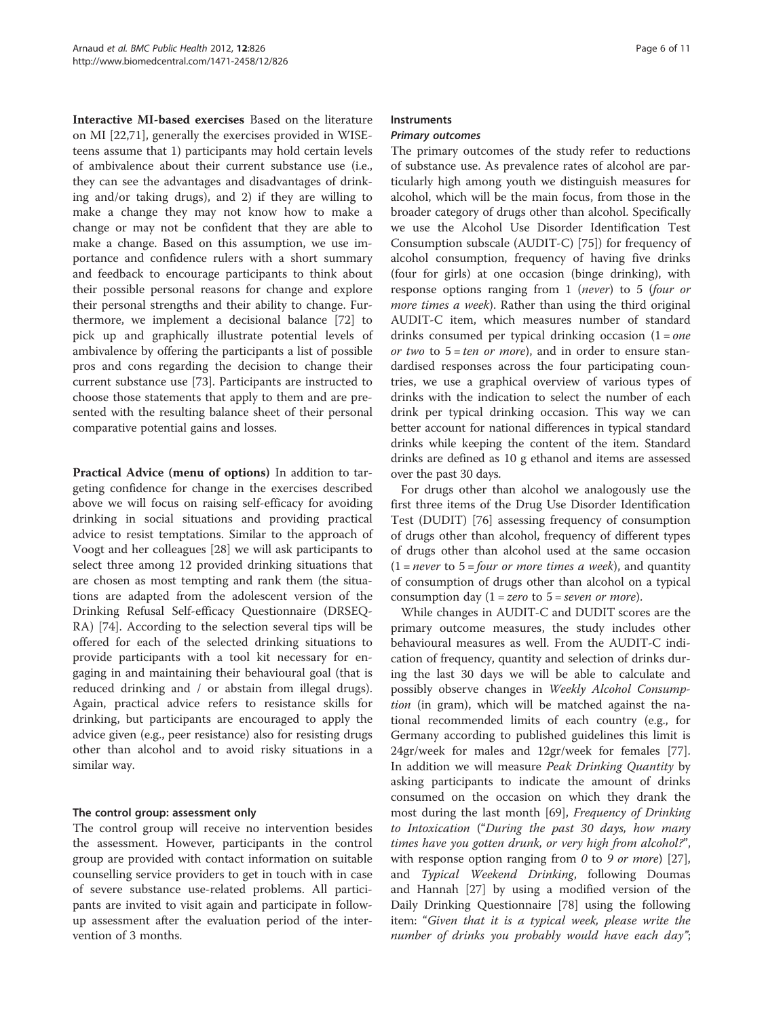Interactive MI-based exercises Based on the literature on MI [[22,](#page-8-0)[71\]](#page-9-0), generally the exercises provided in WISEteens assume that 1) participants may hold certain levels of ambivalence about their current substance use (i.e., they can see the advantages and disadvantages of drinking and/or taking drugs), and 2) if they are willing to make a change they may not know how to make a change or may not be confident that they are able to make a change. Based on this assumption, we use importance and confidence rulers with a short summary and feedback to encourage participants to think about their possible personal reasons for change and explore their personal strengths and their ability to change. Furthermore, we implement a decisional balance [[72\]](#page-9-0) to pick up and graphically illustrate potential levels of ambivalence by offering the participants a list of possible pros and cons regarding the decision to change their current substance use [[73](#page-9-0)]. Participants are instructed to choose those statements that apply to them and are presented with the resulting balance sheet of their personal comparative potential gains and losses.

Practical Advice (menu of options) In addition to targeting confidence for change in the exercises described above we will focus on raising self-efficacy for avoiding drinking in social situations and providing practical advice to resist temptations. Similar to the approach of Voogt and her colleagues [[28\]](#page-8-0) we will ask participants to select three among 12 provided drinking situations that are chosen as most tempting and rank them (the situations are adapted from the adolescent version of the Drinking Refusal Self-efficacy Questionnaire (DRSEQ-RA) [[74\]](#page-9-0). According to the selection several tips will be offered for each of the selected drinking situations to provide participants with a tool kit necessary for engaging in and maintaining their behavioural goal (that is reduced drinking and / or abstain from illegal drugs). Again, practical advice refers to resistance skills for drinking, but participants are encouraged to apply the advice given (e.g., peer resistance) also for resisting drugs other than alcohol and to avoid risky situations in a similar way.

# The control group: assessment only

The control group will receive no intervention besides the assessment. However, participants in the control group are provided with contact information on suitable counselling service providers to get in touch with in case of severe substance use-related problems. All participants are invited to visit again and participate in followup assessment after the evaluation period of the intervention of 3 months.

#### **Instruments**

#### Primary outcomes

The primary outcomes of the study refer to reductions of substance use. As prevalence rates of alcohol are particularly high among youth we distinguish measures for alcohol, which will be the main focus, from those in the broader category of drugs other than alcohol. Specifically we use the Alcohol Use Disorder Identification Test Consumption subscale (AUDIT-C) [[75](#page-9-0)]) for frequency of alcohol consumption, frequency of having five drinks (four for girls) at one occasion (binge drinking), with response options ranging from 1 (never) to 5 (four or more times a week). Rather than using the third original AUDIT-C item, which measures number of standard drinks consumed per typical drinking occasion  $(1 = one$ or two to  $5 = ten$  or more), and in order to ensure standardised responses across the four participating countries, we use a graphical overview of various types of drinks with the indication to select the number of each drink per typical drinking occasion. This way we can better account for national differences in typical standard drinks while keeping the content of the item. Standard drinks are defined as 10 g ethanol and items are assessed over the past 30 days.

For drugs other than alcohol we analogously use the first three items of the Drug Use Disorder Identification Test (DUDIT) [\[76](#page-9-0)] assessing frequency of consumption of drugs other than alcohol, frequency of different types of drugs other than alcohol used at the same occasion  $(1 = never to 5 = four or more times a week)$ , and quantity of consumption of drugs other than alcohol on a typical consumption day  $(1 = zero to 5 = seven or more)$ .

While changes in AUDIT-C and DUDIT scores are the primary outcome measures, the study includes other behavioural measures as well. From the AUDIT-C indication of frequency, quantity and selection of drinks during the last 30 days we will be able to calculate and possibly observe changes in Weekly Alcohol Consumption (in gram), which will be matched against the national recommended limits of each country (e.g., for Germany according to published guidelines this limit is 24gr/week for males and 12gr/week for females [\[77](#page-9-0)]. In addition we will measure Peak Drinking Quantity by asking participants to indicate the amount of drinks consumed on the occasion on which they drank the most during the last month [\[69](#page-9-0)], Frequency of Drinking to Intoxication ("During the past 30 days, how many times have you gotten drunk, or very high from alcohol?", with response option ranging from  $0$  to  $9$  or more) [\[27](#page-8-0)], and Typical Weekend Drinking, following Doumas and Hannah [\[27\]](#page-8-0) by using a modified version of the Daily Drinking Questionnaire [\[78](#page-9-0)] using the following item: "Given that it is a typical week, please write the number of drinks you probably would have each day";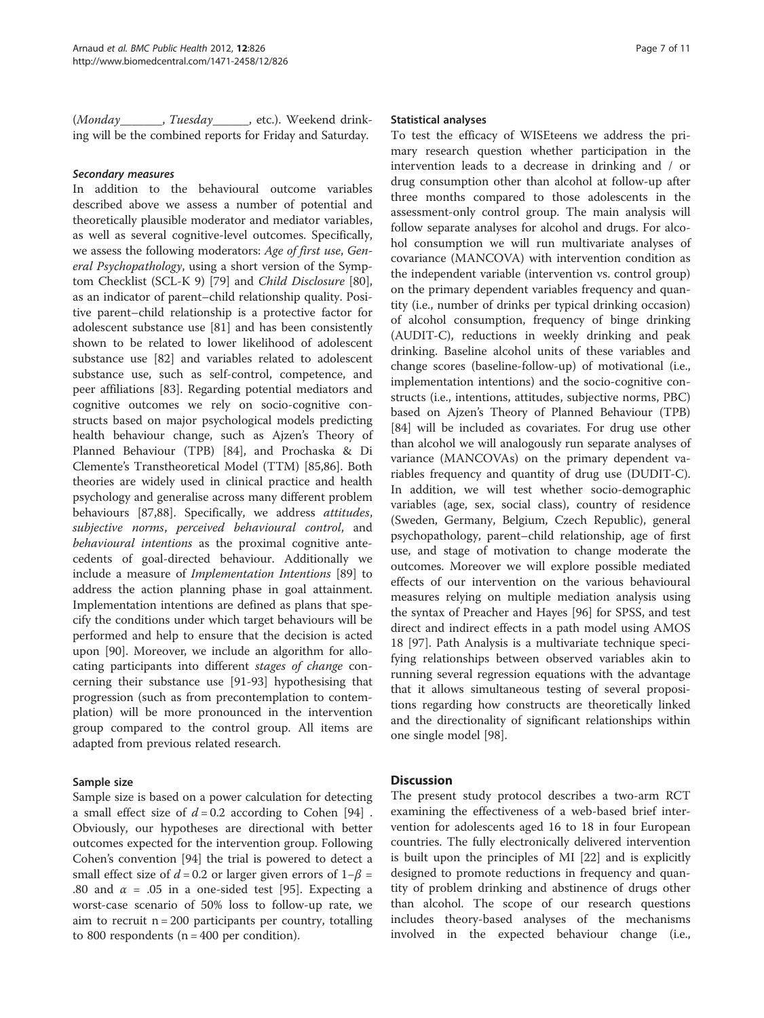(Monday\_\_\_\_\_\_\_, Tuesday\_\_\_\_\_\_, etc.). Weekend drinking will be the combined reports for Friday and Saturday.

#### Secondary measures

In addition to the behavioural outcome variables described above we assess a number of potential and theoretically plausible moderator and mediator variables, as well as several cognitive-level outcomes. Specifically, we assess the following moderators: Age of first use, General Psychopathology, using a short version of the Symptom Checklist (SCL-K 9) [\[79](#page-9-0)] and Child Disclosure [\[80](#page-9-0)], as an indicator of parent–child relationship quality. Positive parent–child relationship is a protective factor for adolescent substance use [[81\]](#page-9-0) and has been consistently shown to be related to lower likelihood of adolescent substance use [\[82\]](#page-9-0) and variables related to adolescent substance use, such as self-control, competence, and peer affiliations [\[83](#page-9-0)]. Regarding potential mediators and cognitive outcomes we rely on socio-cognitive constructs based on major psychological models predicting health behaviour change, such as Ajzen's Theory of Planned Behaviour (TPB) [[84\]](#page-9-0), and Prochaska & Di Clemente's Transtheoretical Model (TTM) [\[85,86](#page-9-0)]. Both theories are widely used in clinical practice and health psychology and generalise across many different problem behaviours [\[87,88](#page-9-0)]. Specifically, we address attitudes, subjective norms, perceived behavioural control, and behavioural intentions as the proximal cognitive antecedents of goal-directed behaviour. Additionally we include a measure of Implementation Intentions [\[89](#page-9-0)] to address the action planning phase in goal attainment. Implementation intentions are defined as plans that specify the conditions under which target behaviours will be performed and help to ensure that the decision is acted upon [[90\]](#page-9-0). Moreover, we include an algorithm for allocating participants into different stages of change concerning their substance use [[91](#page-9-0)-[93\]](#page-9-0) hypothesising that progression (such as from precontemplation to contemplation) will be more pronounced in the intervention group compared to the control group. All items are adapted from previous related research.

#### Sample size

Sample size is based on a power calculation for detecting a small effect size of  $d = 0.2$  according to Cohen [\[94\]](#page-9-0). Obviously, our hypotheses are directional with better outcomes expected for the intervention group. Following Cohen's convention [[94](#page-9-0)] the trial is powered to detect a small effect size of  $d = 0.2$  or larger given errors of  $1-\beta =$ .80 and  $\alpha$  = .05 in a one-sided test [[95\]](#page-9-0). Expecting a worst-case scenario of 50% loss to follow-up rate, we aim to recruit  $n = 200$  participants per country, totalling to 800 respondents ( $n = 400$  per condition).

#### Statistical analyses

To test the efficacy of WISEteens we address the primary research question whether participation in the intervention leads to a decrease in drinking and / or drug consumption other than alcohol at follow-up after three months compared to those adolescents in the assessment-only control group. The main analysis will follow separate analyses for alcohol and drugs. For alcohol consumption we will run multivariate analyses of covariance (MANCOVA) with intervention condition as the independent variable (intervention vs. control group) on the primary dependent variables frequency and quantity (i.e., number of drinks per typical drinking occasion) of alcohol consumption, frequency of binge drinking (AUDIT-C), reductions in weekly drinking and peak drinking. Baseline alcohol units of these variables and change scores (baseline-follow-up) of motivational (i.e., implementation intentions) and the socio-cognitive constructs (i.e., intentions, attitudes, subjective norms, PBC) based on Ajzen's Theory of Planned Behaviour (TPB) [[84\]](#page-9-0) will be included as covariates. For drug use other than alcohol we will analogously run separate analyses of variance (MANCOVAs) on the primary dependent variables frequency and quantity of drug use (DUDIT-C). In addition, we will test whether socio-demographic variables (age, sex, social class), country of residence (Sweden, Germany, Belgium, Czech Republic), general psychopathology, parent–child relationship, age of first use, and stage of motivation to change moderate the outcomes. Moreover we will explore possible mediated effects of our intervention on the various behavioural measures relying on multiple mediation analysis using the syntax of Preacher and Hayes [[96\]](#page-9-0) for SPSS, and test direct and indirect effects in a path model using AMOS 18 [\[97](#page-9-0)]. Path Analysis is a multivariate technique specifying relationships between observed variables akin to running several regression equations with the advantage that it allows simultaneous testing of several propositions regarding how constructs are theoretically linked and the directionality of significant relationships within one single model [[98](#page-10-0)].

# **Discussion**

The present study protocol describes a two-arm RCT examining the effectiveness of a web-based brief intervention for adolescents aged 16 to 18 in four European countries. The fully electronically delivered intervention is built upon the principles of MI [\[22](#page-8-0)] and is explicitly designed to promote reductions in frequency and quantity of problem drinking and abstinence of drugs other than alcohol. The scope of our research questions includes theory-based analyses of the mechanisms involved in the expected behaviour change (i.e.,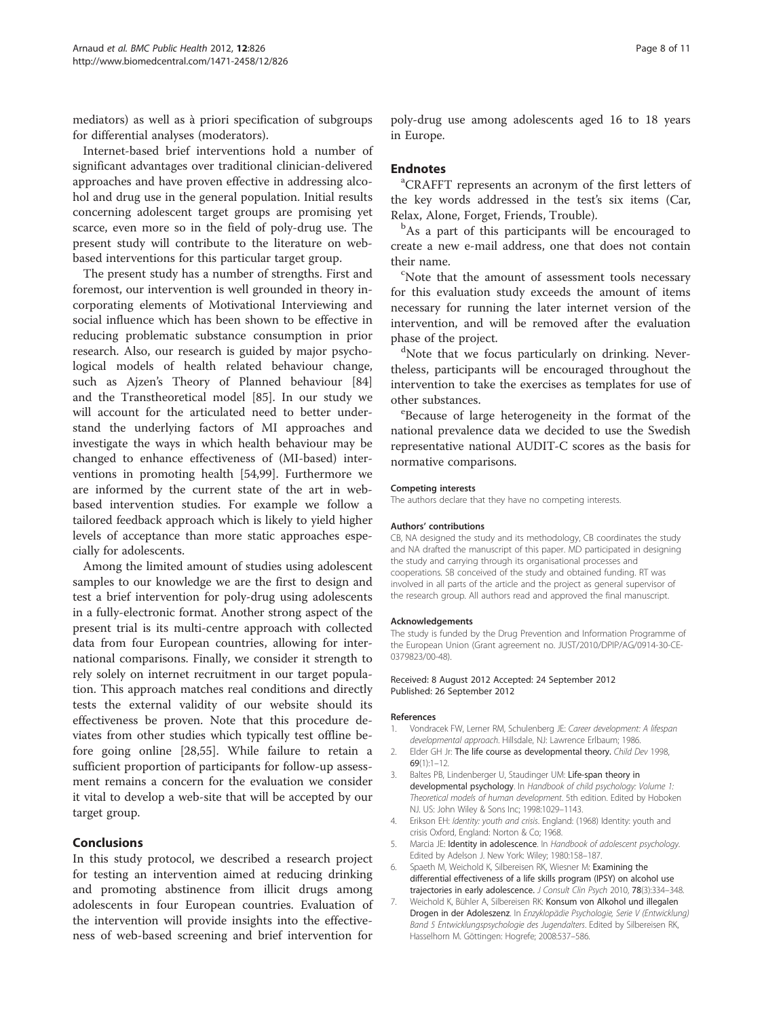<span id="page-7-0"></span>mediators) as well as à priori specification of subgroups for differential analyses (moderators).

Internet-based brief interventions hold a number of significant advantages over traditional clinician-delivered approaches and have proven effective in addressing alcohol and drug use in the general population. Initial results concerning adolescent target groups are promising yet scarce, even more so in the field of poly-drug use. The present study will contribute to the literature on webbased interventions for this particular target group.

The present study has a number of strengths. First and foremost, our intervention is well grounded in theory incorporating elements of Motivational Interviewing and social influence which has been shown to be effective in reducing problematic substance consumption in prior research. Also, our research is guided by major psychological models of health related behaviour change, such as Ajzen's Theory of Planned behaviour [[84](#page-9-0)] and the Transtheoretical model [[85](#page-9-0)]. In our study we will account for the articulated need to better understand the underlying factors of MI approaches and investigate the ways in which health behaviour may be changed to enhance effectiveness of (MI-based) interventions in promoting health [\[54](#page-9-0)[,99](#page-10-0)]. Furthermore we are informed by the current state of the art in webbased intervention studies. For example we follow a tailored feedback approach which is likely to yield higher levels of acceptance than more static approaches especially for adolescents.

Among the limited amount of studies using adolescent samples to our knowledge we are the first to design and test a brief intervention for poly-drug using adolescents in a fully-electronic format. Another strong aspect of the present trial is its multi-centre approach with collected data from four European countries, allowing for international comparisons. Finally, we consider it strength to rely solely on internet recruitment in our target population. This approach matches real conditions and directly tests the external validity of our website should its effectiveness be proven. Note that this procedure deviates from other studies which typically test offline before going online [[28](#page-8-0),[55](#page-9-0)]. While failure to retain a sufficient proportion of participants for follow-up assessment remains a concern for the evaluation we consider it vital to develop a web-site that will be accepted by our target group.

# Conclusions

In this study protocol, we described a research project for testing an intervention aimed at reducing drinking and promoting abstinence from illicit drugs among adolescents in four European countries. Evaluation of the intervention will provide insights into the effectiveness of web-based screening and brief intervention for poly-drug use among adolescents aged 16 to 18 years in Europe.

#### **Endnotes**

CRAFFT represents an acronym of the first letters of the key words addressed in the test's six items (Car, Relax, Alone, Forget, Friends, Trouble).

<sup>b</sup>As a part of this participants will be encouraged to create a new e-mail address, one that does not contain their name.

Note that the amount of assessment tools necessary for this evaluation study exceeds the amount of items necessary for running the later internet version of the intervention, and will be removed after the evaluation phase of the project.

d Note that we focus particularly on drinking. Nevertheless, participants will be encouraged throughout the intervention to take the exercises as templates for use of other substances.

Because of large heterogeneity in the format of the national prevalence data we decided to use the Swedish representative national AUDIT-C scores as the basis for normative comparisons.

#### Competing interests

The authors declare that they have no competing interests.

#### Authors' contributions

CB, NA designed the study and its methodology, CB coordinates the study and NA drafted the manuscript of this paper. MD participated in designing the study and carrying through its organisational processes and cooperations. SB conceived of the study and obtained funding. RT was involved in all parts of the article and the project as general supervisor of the research group. All authors read and approved the final manuscript.

#### Acknowledgements

The study is funded by the Drug Prevention and Information Programme of the European Union (Grant agreement no. JUST/2010/DPIP/AG/0914-30-CE-0379823/00-48).

#### Received: 8 August 2012 Accepted: 24 September 2012 Published: 26 September 2012

#### References

- Vondracek FW, Lerner RM, Schulenberg JE: Career development: A lifespan developmental approach. Hillsdale, NJ: Lawrence Erlbaum; 1986.
- 2. Elder GH Jr: The life course as developmental theory. Child Dev 1998, 69(1):1–12.
- 3. Baltes PB, Lindenberger U, Staudinger UM: Life-span theory in developmental psychology. In Handbook of child psychology: Volume 1: Theoretical models of human development. 5th edition. Edited by Hoboken NJ. US: John Wiley & Sons Inc; 1998:1029–1143.
- 4. Erikson EH: Identity: youth and crisis. England: (1968) Identity: youth and crisis Oxford, England: Norton & Co; 1968.
- 5. Marcia JE: Identity in adolescence. In Handbook of adolescent psychology. Edited by Adelson J. New York: Wiley; 1980:158–187.
- 6. Spaeth M, Weichold K, Silbereisen RK, Wiesner M: Examining the differential effectiveness of a life skills program (IPSY) on alcohol use trajectories in early adolescence. J Consult Clin Psych 2010, 78(3):334-348.
- 7. Weichold K, Bühler A, Silbereisen RK: Konsum von Alkohol und illegalen Drogen in der Adoleszenz. In Enzyklopädie Psychologie, Serie V (Entwicklung) Band 5 Entwicklungspsychologie des Jugendalters. Edited by Silbereisen RK, Hasselhorn M. Göttingen: Hogrefe; 2008:537–586.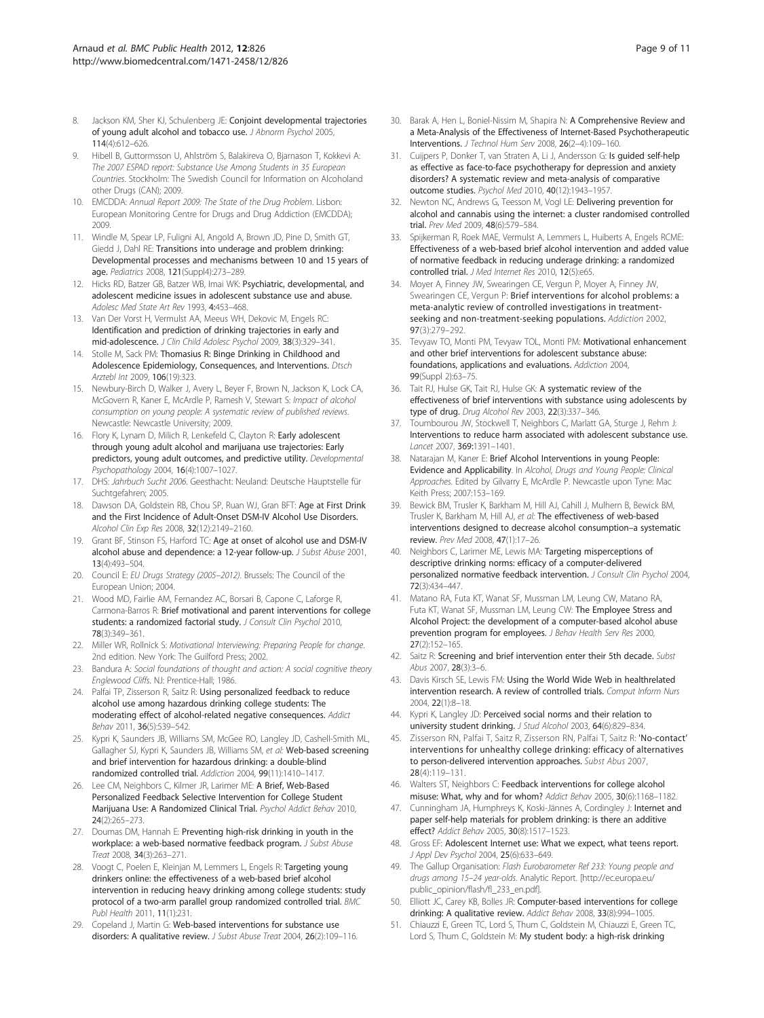- <span id="page-8-0"></span>8. Jackson KM, Sher KJ, Schulenberg JE: Conjoint developmental trajectories of young adult alcohol and tobacco use. J Abnorm Psychol 2005, 114(4):612–626.
- 9. Hibell B, Guttormsson U, Ahlström S, Balakireva O, Bjarnason T, Kokkevi A: The 2007 ESPAD report: Substance Use Among Students in 35 European Countries. Stockholm: The Swedish Council for Information on Alcoholand other Drugs (CAN); 2009.
- 10. EMCDDA: Annual Report 2009: The State of the Drug Problem. Lisbon: European Monitoring Centre for Drugs and Drug Addiction (EMCDDA); 2009.
- 11. Windle M, Spear LP, Fuligni AJ, Angold A, Brown JD, Pine D, Smith GT, Giedd J, Dahl RE: Transitions into underage and problem drinking: Developmental processes and mechanisms between 10 and 15 years of age. Pediatrics 2008, 121(Suppl4):273–289.
- 12. Hicks RD, Batzer GB, Batzer WB, Imai WK: Psychiatric, developmental, and adolescent medicine issues in adolescent substance use and abuse. Adolesc Med State Art Rev 1993, 4:453–468.
- 13. Van Der Vorst H, Vermulst AA, Meeus WH, Dekovic M, Engels RC: Identification and prediction of drinking trajectories in early and mid-adolescence. J Clin Child Adolesc Psychol 2009, 38(3):329–341.
- 14. Stolle M, Sack PM: Thomasius R: Binge Drinking in Childhood and Adolescence Epidemiology, Consequences, and Interventions. Dtsch Arztebl Int 2009, 106(19):323.
- 15. Newbury-Birch D, Walker J, Avery L, Beyer F, Brown N, Jackson K, Lock CA, McGovern R, Kaner E, McArdle P, Ramesh V, Stewart S: Impact of alcohol consumption on young people: A systematic review of published reviews. Newcastle: Newcastle University; 2009.
- 16. Flory K, Lynam D, Milich R, Lenkefeld C, Clayton R: Early adolescent through young adult alcohol and marijuana use trajectories: Early predictors, young adult outcomes, and predictive utility. Developmental Psychopathology 2004, 16(4):1007–1027.
- 17. DHS: Jahrbuch Sucht 2006. Geesthacht: Neuland: Deutsche Hauptstelle für Suchtgefahren; 2005.
- 18. Dawson DA, Goldstein RB, Chou SP, Ruan WJ, Gran BFT: Age at First Drink and the First Incidence of Adult-Onset DSM-IV Alcohol Use Disorders. Alcohol Clin Exp Res 2008, 32(12):2149–2160.
- 19. Grant BF, Stinson FS, Harford TC: Age at onset of alcohol use and DSM-IV alcohol abuse and dependence: a 12-year follow-up. J Subst Abuse 2001, 13(4):493–504.
- 20. Council E: EU Drugs Strategy (2005–2012). Brussels: The Council of the European Union; 2004.
- 21. Wood MD, Fairlie AM, Fernandez AC, Borsari B, Capone C, Laforge R, Carmona-Barros R: Brief motivational and parent interventions for college students: a randomized factorial study. J Consult Clin Psychol 2010, 78(3):349–361.
- 22. Miller WR, Rollnick S: Motivational Interviewing: Preparing People for change. 2nd edition. New York: The Guilford Press; 2002.
- 23. Bandura A: Social foundations of thought and action: A social cognitive theory Englewood Cliffs. NJ: Prentice-Hall; 1986.
- 24. Palfai TP, Zisserson R, Saitz R: Using personalized feedback to reduce alcohol use among hazardous drinking college students: The moderating effect of alcohol-related negative consequences. Addict Behav 2011, 36(5):539–542.
- 25. Kypri K, Saunders JB, Williams SM, McGee RO, Langley JD, Cashell-Smith ML, Gallagher SJ, Kypri K, Saunders JB, Williams SM, et al: Web-based screening and brief intervention for hazardous drinking: a double-blind randomized controlled trial. Addiction 2004, 99(11):1410–1417.
- 26. Lee CM, Neighbors C, Kilmer JR, Larimer ME: A Brief, Web-Based Personalized Feedback Selective Intervention for College Student Marijuana Use: A Randomized Clinical Trial. Psychol Addict Behav 2010, 24(2):265–273.
- 27. Doumas DM, Hannah E: Preventing high-risk drinking in youth in the workplace: a web-based normative feedback program. J Subst Abuse Treat 2008, 34(3):263–271.
- 28. Voogt C, Poelen E, Kleinjan M, Lemmers L, Engels R: Targeting young drinkers online: the effectiveness of a web-based brief alcohol intervention in reducing heavy drinking among college students: study protocol of a two-arm parallel group randomized controlled trial. BMC Publ Health 2011, 11(1):231.
- 29. Copeland J, Martin G: Web-based interventions for substance use disorders: A qualitative review. J Subst Abuse Treat 2004, 26(2):109-116.
- 30. Barak A, Hen L, Boniel-Nissim M, Shapira N: A Comprehensive Review and a Meta-Analysis of the Effectiveness of Internet-Based Psychotherapeutic Interventions. J Technol Hum Serv 2008, 26(2–4):109–160.
- 31. Cuijpers P, Donker T, van Straten A, Li J, Andersson G: Is quided self-help as effective as face-to-face psychotherapy for depression and anxiety disorders? A systematic review and meta-analysis of comparative outcome studies. Psychol Med 2010, 40(12):1943–1957.
- 32. Newton NC, Andrews G, Teesson M, Vogl LE: Delivering prevention for alcohol and cannabis using the internet: a cluster randomised controlled trial. Prev Med 2009, 48(6):579–584.
- 33. Spijkerman R, Roek MAE, Vermulst A, Lemmers L, Huiberts A, Engels RCME: Effectiveness of a web-based brief alcohol intervention and added value of normative feedback in reducing underage drinking: a randomized controlled trial. J Med Internet Res 2010, 12(5):e65.
- 34. Moyer A, Finney JW, Swearingen CE, Vergun P, Moyer A, Finney JW, Swearingen CE, Vergun P: Brief interventions for alcohol problems: a meta-analytic review of controlled investigations in treatmentseeking and non-treatment-seeking populations. Addiction 2002,  $97(3) \cdot 779 - 792$
- 35. Tevyaw TO, Monti PM, Tevyaw TOL, Monti PM: Motivational enhancement and other brief interventions for adolescent substance abuse: foundations, applications and evaluations. Addiction 2004, 99(Suppl 2):63–75.
- 36. Tait RJ, Hulse GK, Tait RJ, Hulse GK: A systematic review of the effectiveness of brief interventions with substance using adolescents by type of drug. Drug Alcohol Rev 2003, 22(3):337–346.
- 37. Toumbourou JW, Stockwell T, Neighbors C, Marlatt GA, Sturge J, Rehm J: Interventions to reduce harm associated with adolescent substance use. Lancet 2007, 369:1391–1401.
- 38. Natarajan M, Kaner E: Brief Alcohol Interventions in young People: Evidence and Applicability. In Alcohol, Drugs and Young People: Clinical Approaches. Edited by Gilvarry E, McArdle P. Newcastle upon Tyne: Mac Keith Press; 2007:153–169.
- 39. Bewick BM, Trusler K, Barkham M, Hill AJ, Cahill J, Mulhern B, Bewick BM, Trusler K, Barkham M, Hill AJ, et al: The effectiveness of web-based interventions designed to decrease alcohol consumption–a systematic review. Prev Med 2008, 47(1):17–26.
- 40. Neighbors C, Larimer ME, Lewis MA: Targeting misperceptions of descriptive drinking norms: efficacy of a computer-delivered personalized normative feedback intervention. J Consult Clin Psychol 2004, 72(3):434–447.
- 41. Matano RA, Futa KT, Wanat SF, Mussman LM, Leung CW, Matano RA, Futa KT, Wanat SF, Mussman LM, Leung CW: The Employee Stress and Alcohol Project: the development of a computer-based alcohol abuse prevention program for employees. J Behav Health Serv Res 2000, 27(2):152–165.
- 42. Saitz R: Screening and brief intervention enter their 5th decade. Subst Abus 2007, 28(3):3–6.
- 43. Davis Kirsch SE, Lewis FM: Using the World Wide Web in healthrelated intervention research. A review of controlled trials. Comput Inform Nurs 2004, 22(1):8–18.
- 44. Kypri K, Langley JD: Perceived social norms and their relation to university student drinking. J Stud Alcohol 2003, 64(6):829–834.
- 45. Zisserson RN, Palfai T, Saitz R, Zisserson RN, Palfai T, Saitz R: 'No-contact' interventions for unhealthy college drinking: efficacy of alternatives to person-delivered intervention approaches. Subst Abus 2007, 28(4):119–131.
- 46. Walters ST, Neighbors C: Feedback interventions for college alcohol misuse: What, why and for whom? Addict Behav 2005, 30(6):1168–1182.
- 47. Cunningham JA, Humphreys K, Koski-Jännes A, Cordingley J: Internet and paper self-help materials for problem drinking: is there an additive effect? Addict Behav 2005, 30(8):1517–1523.
- 48. Gross EF: Adolescent Internet use: What we expect, what teens report. J Appl Dev Psychol 2004, 25(6):633-649.
- 49. The Gallup Organisation: Flash Eurobarometer Ref 233: Young people and drugs among 15–24 year-olds. Analytic Report. [\[http://ec.europa.eu/](http://ec.europa.eu/public_opinion/flash/fl_233_en.pdf) [public\\_opinion/flash/fl\\_233\\_en.pdf](http://ec.europa.eu/public_opinion/flash/fl_233_en.pdf)].
- 50. Elliott JC, Carey KB, Bolles JR: Computer-based interventions for college drinking: A qualitative review. Addict Behav 2008, 33(8):994–1005.
- 51. Chiauzzi E, Green TC, Lord S, Thum C, Goldstein M, Chiauzzi E, Green TC, Lord S, Thum C, Goldstein M: My student body: a high-risk drinking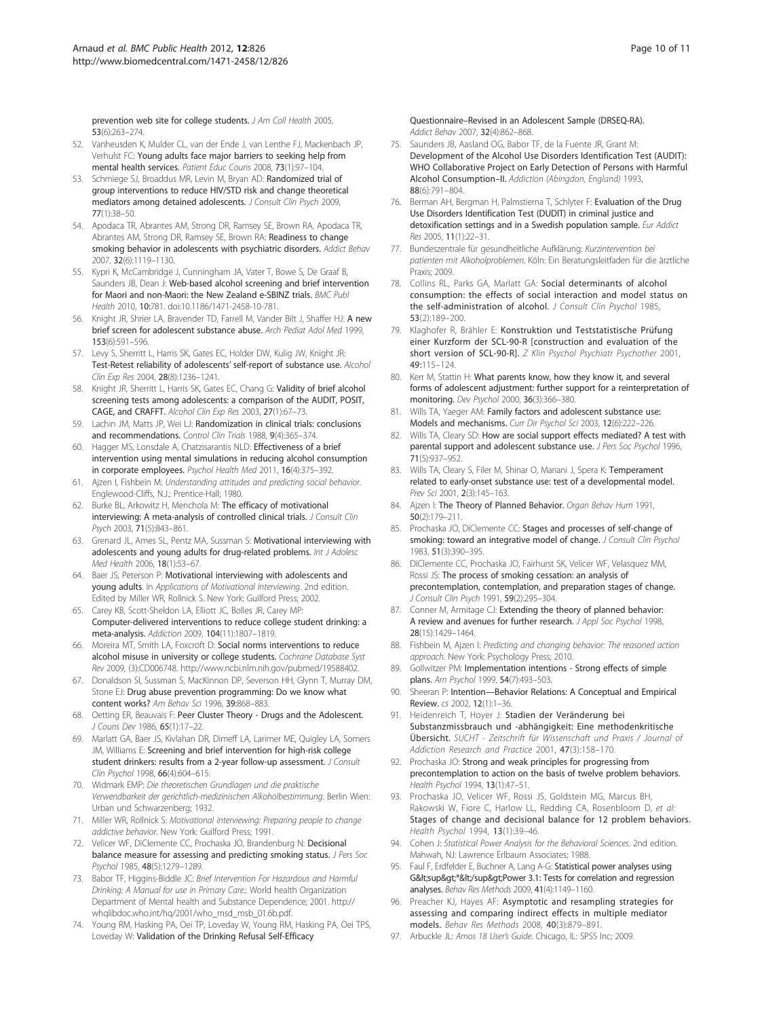<span id="page-9-0"></span>prevention web site for college students. J Am Coll Health 2005, 53(6):263–274.

- 52. Vanheusden K, Mulder CL, van der Ende J, van Lenthe FJ, Mackenbach JP, Verhulst FC: Young adults face major barriers to seeking help from mental health services. Patient Educ Couns 2008, 73(1):97–104.
- 53. Schmiege SJ, Broaddus MR, Levin M, Bryan AD: Randomized trial of group interventions to reduce HIV/STD risk and change theoretical mediators among detained adolescents. J Consult Clin Psych 2009, 77(1):38–50.
- 54. Apodaca TR, Abrantes AM, Strong DR, Ramsey SE, Brown RA, Apodaca TR, Abrantes AM, Strong DR, Ramsey SE, Brown RA: Readiness to change smoking behavior in adolescents with psychiatric disorders. Addict Behav 2007, 32(6):1119–1130.
- 55. Kypri K, McCambridge J, Cunningham JA, Vater T, Bowe S, De Graaf B, Saunders JB, Dean J: Web-based alcohol screening and brief intervention for Maori and non-Maori: the New Zealand e-SBINZ trials. BMC Publ Health 2010, 10:781. doi[:10.1186/1471-2458-10-781.](http://dx.doi.org/10.1186/1471-2458-10-781)
- 56. Knight JR, Shrier LA, Bravender TD, Farrell M, Vander Bilt J, Shaffer HJ: A new brief screen for adolescent substance abuse. Arch Pediat Adol Med 1999, 153(6):591–596.
- 57. Levy S, Sherritt L, Harris SK, Gates EC, Holder DW, Kulig JW, Knight JR: Test-Retest reliability of adolescents' self-report of substance use. Alcohol Clin Exp Res 2004, 28(8):1236–1241.
- 58. Knight JR, Sherritt L, Harris SK, Gates EC, Chang G: Validity of brief alcohol screening tests among adolescents: a comparison of the AUDIT, POSIT, CAGE, and CRAFFT. Alcohol Clin Exp Res 2003, 27(1):67–73.
- 59. Lachin JM, Matts JP, Wei LJ: Randomization in clinical trials: conclusions and recommendations. Control Clin Trials 1988, 9(4):365–374.
- 60. Hagger MS, Lonsdale A, Chatzisarantis NLD: Effectiveness of a brief intervention using mental simulations in reducing alcohol consumption in corporate employees. Psychol Health Med 2011, 16(4):375–392.
- 61. Ajzen I, Fishbein M: Understanding attitudes and predicting social behavior. Englewood-Cliffs, N.J.: Prentice-Hall; 1980.
- 62. Burke BL, Arkowitz H, Menchola M: The efficacy of motivational interviewing: A meta-analysis of controlled clinical trials. J Consult Clin Psych 2003, 71(5):843–861.
- 63. Grenard JL, Ames SL, Pentz MA, Sussman S: Motivational interviewing with adolescents and young adults for drug-related problems. Int J Adolesc Med Health 2006, 18(1):53–67.
- 64. Baer JS, Peterson P: Motivational interviewing with adolescents and young adults. In Applications of Motivational Interviewing. 2nd edition. Edited by Miller WR, Rollnick S. New York: Guilford Press; 2002.
- 65. Carey KB, Scott-Sheldon LA, Elliott JC, Bolles JR, Carey MP: Computer-delivered interventions to reduce college student drinking: a meta-analysis. Addiction 2009, 104(11):1807–1819.
- 66. Moreira MT, Smith LA, Foxcroft D: Social norms interventions to reduce alcohol misuse in university or college students. Cochrane Database Syst Rev 2009, (3):CD006748. [http://www.ncbi.nlm.nih.gov/pubmed/19588402.](http://www.ncbi.nlm.nih.gov/pubmed/19588402)
- 67. Donaldson SI, Sussman S, MacKinnon DP, Severson HH, Glynn T, Murray DM, Stone EJ: Drug abuse prevention programming: Do we know what content works? Am Behav Sci 1996, 39:868–883.
- 68. Oetting ER, Beauvais F: Peer Cluster Theory Drugs and the Adolescent. J Couns Dev 1986, 65(1):17–22.
- 69. Marlatt GA, Baer JS, Kivlahan DR, Dimeff LA, Larimer ME, Quigley LA, Somers JM, Williams E: Screening and brief intervention for high-risk college student drinkers: results from a 2-year follow-up assessment. J Consult Clin Psychol 1998, 66(4):604–615.
- 70. Widmark EMP: Die theoretischen Grundlagen und die praktische Verwendbarkeit der gerichtlich-medizinischen Alkoholbestimmung. Berlin Wien: Urban und Schwarzenberg; 1932.
- 71. Miller WR, Rollnick S: Motivational interviewing: Preparing people to change addictive behavior. New York: Guilford Press; 1991.
- 72. Velicer WF, DiClemente CC, Prochaska JO, Brandenburg N: Decisional balance measure for assessing and predicting smoking status. J Pers Soc Psychol 1985, 48(5):1279–1289.
- 73. Babor TF, Higgins-Biddle JC: Brief Intervention For Hazardous and Harmful Drinking: A Manual for use in Primary Care.: World health Organization Department of Mental health and Substance Dependence; 2001. [http://](http://whqlibdoc.who.int/hq/2001/who_msd_msb_01.6b.pdf) [whqlibdoc.who.int/hq/2001/who\\_msd\\_msb\\_01.6b.pdf.](http://whqlibdoc.who.int/hq/2001/who_msd_msb_01.6b.pdf)
- 74. Young RM, Hasking PA, Oei TP, Loveday W, Young RM, Hasking PA, Oei TPS, Loveday W: Validation of the Drinking Refusal Self-Efficacy

Questionnaire–Revised in an Adolescent Sample (DRSEQ-RA). Addict Behav 2007, 32(4):862–868.

- 75. Saunders JB, Aasland OG, Babor TF, de la Fuente JR, Grant M: Development of the Alcohol Use Disorders Identification Test (AUDIT): WHO Collaborative Project on Early Detection of Persons with Harmful Alcohol Consumption–II. Addiction (Abingdon, England) 1993, 88(6):791–804.
- 76. Berman AH, Bergman H, Palmstierna T, Schlyter F: Evaluation of the Drug Use Disorders Identification Test (DUDIT) in criminal justice and detoxification settings and in a Swedish population sample. Eur Addict Res 2005, 11(1):22–31.
- 77. Bundeszentrale für gesundheitliche Aufklärung: Kurzintervention bei patienten mit Alkoholproblemen. Köln: Ein Beratungsleitfaden für die ärztliche Praxis; 2009.
- 78. Collins RL, Parks GA, Marlatt GA: Social determinants of alcohol consumption: the effects of social interaction and model status on the self-administration of alcohol. J Consult Clin Psychol 1985, 53(2):189–200.
- 79. Klaghofer R, Brähler E: Konstruktion und Teststatistische Prüfung einer Kurzform der SCL-90-R [construction and evaluation of the short version of SCL-90-R]. Z Klin Psychol Psychiatr Psychother 2001, 49:115–124.
- 80. Kerr M, Stattin H: What parents know, how they know it, and several forms of adolescent adjustment: further support for a reinterpretation of monitoring. Dev Psychol 2000, 36(3):366–380.
- 81. Wills TA, Yaeger AM: Family factors and adolescent substance use: Models and mechanisms. Curr Dir Psychol Sci 2003, 12(6):222–226.
- 82. Wills TA, Cleary SD: How are social support effects mediated? A test with parental support and adolescent substance use. J Pers Soc Psychol 1996, 71(5):937–952.
- 83. Wills TA, Cleary S, Filer M, Shinar O, Mariani J, Spera K: Temperament related to early-onset substance use: test of a developmental model. Prev Sci 2001, 2(3):145–163.
- 84. Ajzen I: The Theory of Planned Behavior. Organ Behav Hum 1991, 50(2):179–211.
- 85. Prochaska JO, DiClemente CC: Stages and processes of self-change of smoking: toward an integrative model of change. J Consult Clin Psychol 1983, 51(3):390–395.
- 86. DiClemente CC, Prochaska JO, Fairhurst SK, Velicer WF, Velasquez MM, Rossi JS: The process of smoking cessation: an analysis of precontemplation, contemplation, and preparation stages of change. J Consult Clin Psych 1991, 59(2):295–304.
- 87. Conner M, Armitage CJ: Extending the theory of planned behavior: A review and avenues for further research. J Appl Soc Psychol 1998, 28(15):1429–1464.
- 88. Fishbein M, Ajzen I: Predicting and changing behavior: The reasoned action approach. New York: Psychology Press; 2010.
- 89. Gollwitzer PM: Implementation intentions Strong effects of simple plans. Am Psychol 1999, 54(7):493–503.
- 90. Sheeran P: Intention—Behavior Relations: A Conceptual and Empirical Review. cs 2002, 12(1):1–36.
- 91. Heidenreich T, Hoyer J: Stadien der Veränderung bei Substanzmissbrauch und -abhängigkeit: Eine methodenkritische Übersicht. SUCHT - Zeitschrift für Wissenschaft und Praxis / Journal of Addiction Research and Practice 2001, 47(3):158–170.
- 92. Prochaska JO: Strong and weak principles for progressing from precontemplation to action on the basis of twelve problem behaviors. Health Psychol 1994, 13(1):47–51.
- 93. Prochaska JO, Velicer WF, Rossi JS, Goldstein MG, Marcus BH, Rakowski W, Fiore C, Harlow LL, Redding CA, Rosenbloom D, et al: Stages of change and decisional balance for 12 problem behaviors. Health Psychol 1994, 13(1):39–46.
- 94. Cohen J: Statistical Power Analysis for the Behavioral Sciences. 2nd edition. Mahwah, NJ: Lawrence Erlbaum Associates; 1988.
- 95. Faul F, Erdfelder E, Buchner A, Lang A-G: Statistical power analyses using G<sup&gt;\*&lt;/sup&gt;Power 3.1: Tests for correlation and regression analyses. Behav Res Methods 2009, 41(4):1149–1160.
- 96. Preacher KJ, Hayes AF: Asymptotic and resampling strategies for assessing and comparing indirect effects in multiple mediator models. Behav Res Methods 2008, 40(3):879–891.
- 97. Arbuckle JL: Amos 18 User's Guide. Chicago, IL: SPSS Inc; 2009.